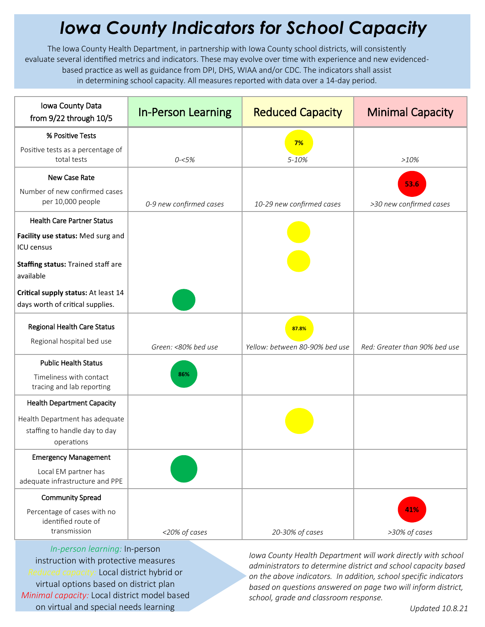## *Iowa County Indicators for School Capacity*

The Iowa County Health Department, in partnership with Iowa County school districts, will consistently evaluate several identified metrics and indicators. These may evolve over time with experience and new evidencedbased practice as well as guidance from DPI, DHS, WIAA and/or CDC. The indicators shall assist in determining school capacity. All measures reported with data over a 14-day period.

| Iowa County Data<br>from 9/22 through 10/5                                    | <b>In-Person Learning</b> | <b>Reduced Capacity</b>                 | <b>Minimal Capacity</b>       |
|-------------------------------------------------------------------------------|---------------------------|-----------------------------------------|-------------------------------|
| % Positive Tests                                                              |                           | 7%                                      |                               |
| Positive tests as a percentage of<br>total tests                              | $0 - 5%$                  | 5-10%                                   | >10%                          |
| New Case Rate                                                                 |                           |                                         | 53.6                          |
| Number of new confirmed cases<br>per 10,000 people                            | 0-9 new confirmed cases   | 10-29 new confirmed cases               | >30 new confirmed cases       |
| <b>Health Care Partner Status</b>                                             |                           |                                         |                               |
| Facility use status: Med surg and<br><b>ICU</b> census                        |                           |                                         |                               |
| Staffing status: Trained staff are<br>available                               |                           |                                         |                               |
| Critical supply status: At least 14<br>days worth of critical supplies.       |                           |                                         |                               |
| Regional Health Care Status<br>Regional hospital bed use                      | Green: <80% bed use       | 87.8%<br>Yellow: between 80-90% bed use | Red: Greater than 90% bed use |
| <b>Public Health Status</b>                                                   |                           |                                         |                               |
| Timeliness with contact<br>tracing and lab reporting                          | 86%                       |                                         |                               |
| <b>Health Department Capacity</b>                                             |                           |                                         |                               |
| Health Department has adequate<br>staffing to handle day to day<br>operations |                           |                                         |                               |
| <b>Emergency Management</b>                                                   |                           |                                         |                               |
| Local EM partner has<br>adequate infrastructure and PPE                       |                           |                                         |                               |
| <b>Community Spread</b>                                                       |                           |                                         |                               |
| Percentage of cases with no<br>identified route of<br>transmission            | <20% of cases             | 20-30% of cases                         | 41%<br>>30% of cases          |

*In-person learning:* In-person instruction with protective measures *Reduced capacity:* Local district hybrid or virtual options based on district plan *Minimal capacity:* Local district model based on virtual and special needs learning

*Iowa County Health Department will work directly with school administrators to determine district and school capacity based on the above indicators. In addition, school specific indicators based on questions answered on page two will inform district, school, grade and classroom response.*